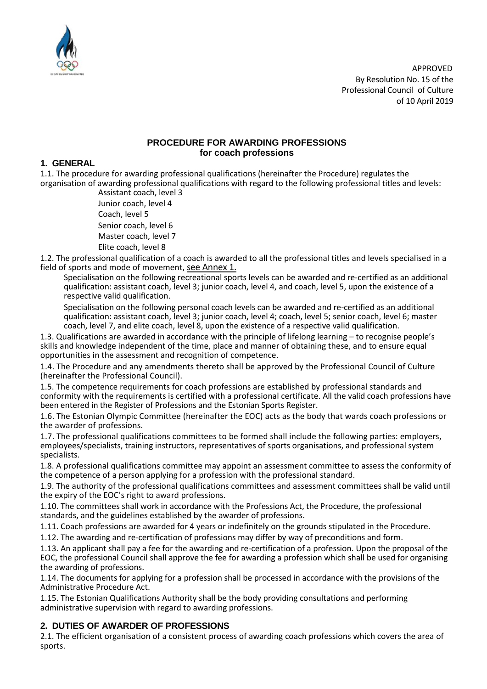

APPROVED By Resolution No. 15 of the Professional Council of Culture of 10 April 2019

#### **PROCEDURE FOR AWARDING PROFESSIONS for coach professions**

#### **1. GENERAL**

1.1. The procedure for awarding professional qualifications (hereinafter the Procedure) regulates the organisation of awarding professional qualifications with regard to the following professional titles and levels:

Assistant coach, level 3 Junior coach, level 4 Coach, level 5 Senior coach, level 6 Master coach, level 7 Elite coach, level 8

1.2. The professional qualification of a coach is awarded to all the professional titles and levels specialised in a field of sports and mode of movement, see Annex 1.

Specialisation on the following recreational sports levels can be awarded and re-certified as an additional qualification: assistant coach, level 3; junior coach, level 4, and coach, level 5, upon the existence of a respective valid qualification.

Specialisation on the following personal coach levels can be awarded and re-certified as an additional qualification: assistant coach, level 3; junior coach, level 4; coach, level 5; senior coach, level 6; master coach, level 7, and elite coach, level 8, upon the existence of a respective valid qualification.

1.3. Qualifications are awarded in accordance with the principle of lifelong learning – to recognise people's skills and knowledge independent of the time, place and manner of obtaining these, and to ensure equal opportunities in the assessment and recognition of competence.

1.4. The Procedure and any amendments thereto shall be approved by the Professional Council of Culture (hereinafter the Professional Council).

1.5. The competence requirements for coach professions are established by professional standards and conformity with the requirements is certified with a professional certificate. All the valid coach professions have been entered in the Register of Professions and the Estonian Sports Register.

1.6. The Estonian Olympic Committee (hereinafter the EOC) acts as the body that wards coach professions or the awarder of professions.

1.7. The professional qualifications committees to be formed shall include the following parties: employers, employees/specialists, training instructors, representatives of sports organisations, and professional system specialists.

1.8. A professional qualifications committee may appoint an assessment committee to assess the conformity of the competence of a person applying for a profession with the professional standard.

1.9. The authority of the professional qualifications committees and assessment committees shall be valid until the expiry of the EOC's right to award professions.

1.10. The committees shall work in accordance with the Professions Act, the Procedure, the professional standards, and the guidelines established by the awarder of professions.

1.11. Coach professions are awarded for 4 years or indefinitely on the grounds stipulated in the Procedure.

1.12. The awarding and re-certification of professions may differ by way of preconditions and form.

1.13. An applicant shall pay a fee for the awarding and re-certification of a profession. Upon the proposal of the EOC, the professional Council shall approve the fee for awarding a profession which shall be used for organising the awarding of professions.

1.14. The documents for applying for a profession shall be processed in accordance with the provisions of the Administrative Procedure Act.

1.15. The Estonian Qualifications Authority shall be the body providing consultations and performing administrative supervision with regard to awarding professions.

### **2. DUTIES OF AWARDER OF PROFESSIONS**

2.1. The efficient organisation of a consistent process of awarding coach professions which covers the area of sports.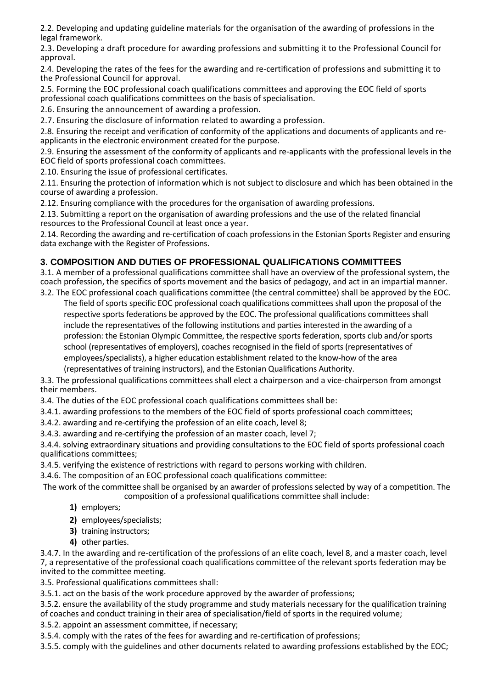2.2. Developing and updating guideline materials for the organisation of the awarding of professions in the legal framework.

2.3. Developing a draft procedure for awarding professions and submitting it to the Professional Council for approval.

2.4. Developing the rates of the fees for the awarding and re-certification of professions and submitting it to the Professional Council for approval.

2.5. Forming the EOC professional coach qualifications committees and approving the EOC field of sports professional coach qualifications committees on the basis of specialisation.

2.6. Ensuring the announcement of awarding a profession.

2.7. Ensuring the disclosure of information related to awarding a profession.

2.8. Ensuring the receipt and verification of conformity of the applications and documents of applicants and reapplicants in the electronic environment created for the purpose.

2.9. Ensuring the assessment of the conformity of applicants and re-applicants with the professional levels in the EOC field of sports professional coach committees.

2.10. Ensuring the issue of professional certificates.

2.11. Ensuring the protection of information which is not subject to disclosure and which has been obtained in the course of awarding a profession.

2.12. Ensuring compliance with the procedures for the organisation of awarding professions.

2.13. Submitting a report on the organisation of awarding professions and the use of the related financial resources to the Professional Council at least once a year.

2.14. Recording the awarding and re-certification of coach professions in the Estonian Sports Register and ensuring data exchange with the Register of Professions.

## **3. COMPOSITION AND DUTIES OF PROFESSIONAL QUALIFICATIONS COMMITTEES**

3.1. A member of a professional qualifications committee shall have an overview of the professional system, the coach profession, the specifics of sports movement and the basics of pedagogy, and act in an impartial manner.

3.2. The EOC professional coach qualifications committee (the central committee) shall be approved by the EOC. The field of sports specific EOC professional coach qualifications committees shall upon the proposal of the respective sports federations be approved by the EOC. The professional qualifications committees shall include the representatives of the following institutions and parties interested in the awarding of a profession: the Estonian Olympic Committee, the respective sports federation, sports club and/or sports school (representatives of employers), coaches recognised in the field of sports (representatives of employees/specialists), a higher education establishment related to the know-how of the area (representatives of training instructors), and the Estonian Qualifications Authority.

3.3. The professional qualifications committees shall elect a chairperson and a vice-chairperson from amongst their members.

3.4. The duties of the EOC professional coach qualifications committees shall be:

3.4.1. awarding professions to the members of the EOC field of sports professional coach committees;

3.4.2. awarding and re-certifying the profession of an elite coach, level 8;

3.4.3. awarding and re-certifying the profession of an master coach, level 7;

3.4.4. solving extraordinary situations and providing consultations to the EOC field of sports professional coach qualifications committees;

3.4.5. verifying the existence of restrictions with regard to persons working with children.

3.4.6. The composition of an EOC professional coach qualifications committee:

The work of the committee shall be organised by an awarder of professions selected by way of a competition. The composition of a professional qualifications committee shall include:

- **1)** employers;
- **2)** employees/specialists;
- **3)** training instructors;
- **4)** other parties.

3.4.7. In the awarding and re-certification of the professions of an elite coach, level 8, and a master coach, level 7, a representative of the professional coach qualifications committee of the relevant sports federation may be invited to the committee meeting.

3.5. Professional qualifications committees shall:

3.5.1. act on the basis of the work procedure approved by the awarder of professions;

3.5.2. ensure the availability of the study programme and study materials necessary for the qualification training of coaches and conduct training in their area of specialisation/field of sports in the required volume;

3.5.2. appoint an assessment committee, if necessary;

3.5.4. comply with the rates of the fees for awarding and re-certification of professions;

3.5.5. comply with the guidelines and other documents related to awarding professions established by the EOC;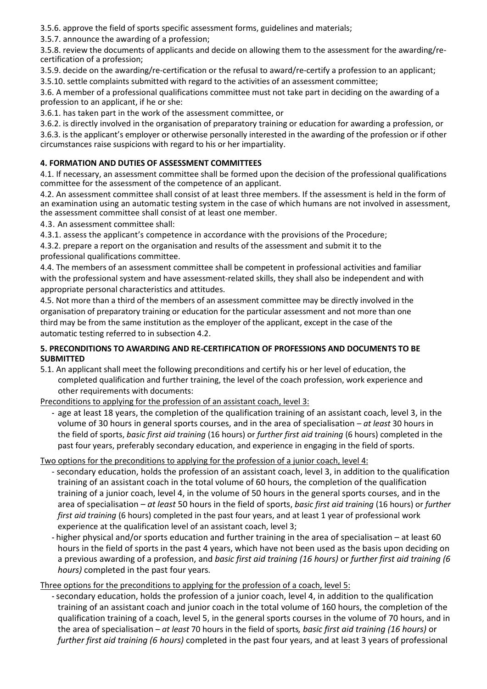3.5.6. approve the field of sports specific assessment forms, guidelines and materials;

3.5.7. announce the awarding of a profession;

3.5.8. review the documents of applicants and decide on allowing them to the assessment for the awarding/recertification of a profession;

3.5.9. decide on the awarding/re-certification or the refusal to award/re-certify a profession to an applicant;

3.5.10. settle complaints submitted with regard to the activities of an assessment committee;

3.6. A member of a professional qualifications committee must not take part in deciding on the awarding of a profession to an applicant, if he or she:

3.6.1. has taken part in the work of the assessment committee, or

3.6.2. is directly involved in the organisation of preparatory training or education for awarding a profession, or 3.6.3. is the applicant's employer or otherwise personally interested in the awarding of the profession or if other circumstances raise suspicions with regard to his or her impartiality.

# **4. FORMATION AND DUTIES OF ASSESSMENT COMMITTEES**

4.1. If necessary, an assessment committee shall be formed upon the decision of the professional qualifications committee for the assessment of the competence of an applicant.

4.2. An assessment committee shall consist of at least three members. If the assessment is held in the form of an examination using an automatic testing system in the case of which humans are not involved in assessment, the assessment committee shall consist of at least one member.

4.3. An assessment committee shall:

4.3.1. assess the applicant's competence in accordance with the provisions of the Procedure;

4.3.2. prepare a report on the organisation and results of the assessment and submit it to the professional qualifications committee.

4.4. The members of an assessment committee shall be competent in professional activities and familiar with the professional system and have assessment-related skills, they shall also be independent and with appropriate personal characteristics and attitudes.

4.5. Not more than a third of the members of an assessment committee may be directly involved in the organisation of preparatory training or education for the particular assessment and not more than one third may be from the same institution as the employer of the applicant, except in the case of the automatic testing referred to in subsection 4.2.

### **5. PRECONDITIONS TO AWARDING AND RE-CERTIFICATION OF PROFESSIONS AND DOCUMENTS TO BE SUBMITTED**

5.1. An applicant shall meet the following preconditions and certify his or her level of education, the completed qualification and further training, the level of the coach profession, work experience and other requirements with documents:

Preconditions to applying for the profession of an assistant coach, level 3:

- age at least 18 years, the completion of the qualification training of an assistant coach, level 3, in the volume of 30 hours in general sports courses, and in the area of specialisation – *at least* 30 hours in the field of sports, *basic first aid training* (16 hours) or *further first aid training* (6 hours) completed in the past four years, preferably secondary education, and experience in engaging in the field of sports.

Two options for the preconditions to applying for the profession of a junior coach, level 4:

- secondary education, holds the profession of an assistant coach, level 3, in addition to the qualification training of an assistant coach in the total volume of 60 hours, the completion of the qualification training of a junior coach, level 4, in the volume of 50 hours in the general sports courses, and in the area of specialisation – *at least* 50 hours in the field of sports, *basic first aid training* (16 hours) or *further first aid training* (6 hours) completed in the past four years, and at least 1 year of professional work experience at the qualification level of an assistant coach, level 3;
- higher physical and/or sports education and further training in the area of specialisation at least 60 hours in the field of sports in the past 4 years, which have not been used as the basis upon deciding on a previous awarding of a profession, and *basic first aid training (16 hours)* or *further first aid training (6 hours)* completed in the past four years*.*

Three options for the preconditions to applying for the profession of a coach, level 5:

- secondary education, holds the profession of a junior coach, level 4, in addition to the qualification training of an assistant coach and junior coach in the total volume of 160 hours, the completion of the qualification training of a coach, level 5, in the general sports courses in the volume of 70 hours, and in the area of specialisation – *at least* 70 hours in the field of sports*, basic first aid training (16 hours)* or *further first aid training (6 hours)* completed in the past four years, and at least 3 years of professional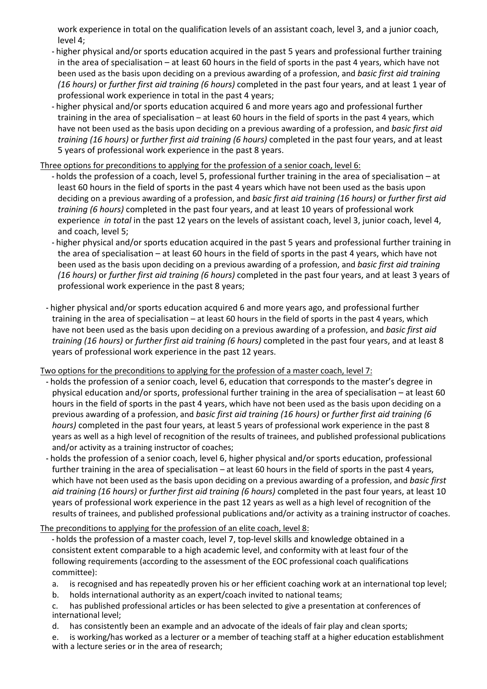work experience in total on the qualification levels of an assistant coach, level 3, and a junior coach, level 4;

- higher physical and/or sports education acquired in the past 5 years and professional further training in the area of specialisation – at least 60 hours in the field of sports in the past 4 years, which have not been used as the basis upon deciding on a previous awarding of a profession, and *basic first aid training (16 hours)* or *further first aid training (6 hours)* completed in the past four years, and at least 1 year of professional work experience in total in the past 4 years;
- higher physical and/or sports education acquired 6 and more years ago and professional further training in the area of specialisation – at least 60 hours in the field of sports in the past 4 years, which have not been used as the basis upon deciding on a previous awarding of a profession, and *basic first aid training (16 hours)* or *further first aid training (6 hours)* completed in the past four years, and at least 5 years of professional work experience in the past 8 years.

Three options for preconditions to applying for the profession of a senior coach, level 6:

- holds the profession of a coach, level 5, professional further training in the area of specialisation at least 60 hours in the field of sports in the past 4 years which have not been used as the basis upon deciding on a previous awarding of a profession, and *basic first aid training (16 hours)* or *further first aid training (6 hours)* completed in the past four years, and at least 10 years of professional work experience *in total* in the past 12 years on the levels of assistant coach, level 3, junior coach, level 4, and coach, level 5;
- higher physical and/or sports education acquired in the past 5 years and professional further training in the area of specialisation – at least 60 hours in the field of sports in the past 4 years, which have not been used as the basis upon deciding on a previous awarding of a profession, and *basic first aid training (16 hours)* or *further first aid training (6 hours)* completed in the past four years, and at least 3 years of professional work experience in the past 8 years;
- higher physical and/or sports education acquired 6 and more years ago, and professional further training in the area of specialisation – at least 60 hours in the field of sports in the past 4 years, which have not been used as the basis upon deciding on a previous awarding of a profession, and *basic first aid training (16 hours)* or *further first aid training (6 hours)* completed in the past four years, and at least 8 years of professional work experience in the past 12 years.

Two options for the preconditions to applying for the profession of a master coach, level 7:

- holds the profession of a senior coach, level 6, education that corresponds to the master's degree in physical education and/or sports, professional further training in the area of specialisation – at least 60 hours in the field of sports in the past 4 years, which have not been used as the basis upon deciding on a previous awarding of a profession, and *basic first aid training (16 hours)* or *further first aid training (6 hours)* completed in the past four years, at least 5 years of professional work experience in the past 8 years as well as a high level of recognition of the results of trainees, and published professional publications and/or activity as a training instructor of coaches;
- holds the profession of a senior coach, level 6, higher physical and/or sports education, professional further training in the area of specialisation – at least 60 hours in the field of sports in the past 4 years, which have not been used as the basis upon deciding on a previous awarding of a profession, and *basic first aid training (16 hours)* or *further first aid training (6 hours)* completed in the past four years, at least 10 years of professional work experience in the past 12 years as well as a high level of recognition of the results of trainees, and published professional publications and/or activity as a training instructor of coaches.

The preconditions to applying for the profession of an elite coach, level 8:

- holds the profession of a master coach, level 7, top-level skills and knowledge obtained in a consistent extent comparable to a high academic level, and conformity with at least four of the following requirements (according to the assessment of the EOC professional coach qualifications committee):
- a. is recognised and has repeatedly proven his or her efficient coaching work at an international top level;
- b. holds international authority as an expert/coach invited to national teams;
- c. has published professional articles or has been selected to give a presentation at conferences of international level;
- d. has consistently been an example and an advocate of the ideals of fair play and clean sports;
- e. is working/has worked as a lecturer or a member of teaching staff at a higher education establishment with a lecture series or in the area of research;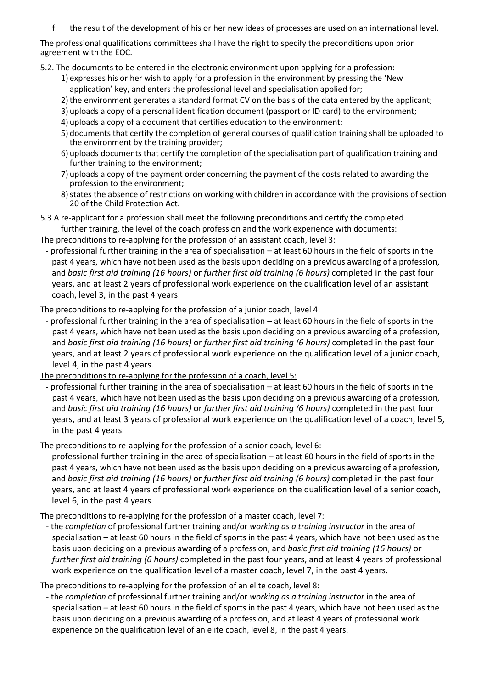f. the result of the development of his or her new ideas of processes are used on an international level.

The professional qualifications committees shall have the right to specify the preconditions upon prior agreement with the EOC.

5.2. The documents to be entered in the electronic environment upon applying for a profession:

- 1) expresses his or her wish to apply for a profession in the environment by pressing the 'New application' key, and enters the professional level and specialisation applied for;
- 2)the environment generates a standard format CV on the basis of the data entered by the applicant;
- 3) uploads a copy of a personal identification document (passport or ID card) to the environment;
- 4) uploads a copy of a document that certifies education to the environment;
- 5) documents that certify the completion of general courses of qualification training shall be uploaded to the environment by the training provider;
- 6) uploads documents that certify the completion of the specialisation part of qualification training and further training to the environment;
- 7) uploads a copy of the payment order concerning the payment of the costs related to awarding the profession to the environment;
- 8) states the absence of restrictions on working with children in accordance with the provisions of section 20 of the Child Protection Act.

5.3 A re-applicant for a profession shall meet the following preconditions and certify the completed further training, the level of the coach profession and the work experience with documents:

The preconditions to re-applying for the profession of an assistant coach, level 3:

- professional further training in the area of specialisation – at least 60 hours in the field of sports in the past 4 years, which have not been used as the basis upon deciding on a previous awarding of a profession, and *basic first aid training (16 hours)* or *further first aid training (6 hours)* completed in the past four years, and at least 2 years of professional work experience on the qualification level of an assistant coach, level 3, in the past 4 years.

The preconditions to re-applying for the profession of a junior coach, level 4:

- professional further training in the area of specialisation – at least 60 hours in the field of sports in the past 4 years, which have not been used as the basis upon deciding on a previous awarding of a profession, and *basic first aid training (16 hours)* or *further first aid training (6 hours)* completed in the past four years, and at least 2 years of professional work experience on the qualification level of a junior coach, level 4, in the past 4 years.

The preconditions to re-applying for the profession of a coach, level 5:

- professional further training in the area of specialisation – at least 60 hours in the field of sports in the past 4 years, which have not been used as the basis upon deciding on a previous awarding of a profession, and *basic first aid training (16 hours)* or *further first aid training (6 hours)* completed in the past four years, and at least 3 years of professional work experience on the qualification level of a coach, level 5, in the past 4 years.

The preconditions to re-applying for the profession of a senior coach, level 6:

- professional further training in the area of specialisation – at least 60 hours in the field of sports in the past 4 years, which have not been used as the basis upon deciding on a previous awarding of a profession, and *basic first aid training (16 hours)* or *further first aid training (6 hours)* completed in the past four years, and at least 4 years of professional work experience on the qualification level of a senior coach, level 6, in the past 4 years.

The preconditions to re-applying for the profession of a master coach, level 7:

- the *completion* of professional further training and/or *working as a training instructor* in the area of specialisation – at least 60 hours in the field of sports in the past 4 years, which have not been used as the basis upon deciding on a previous awarding of a profession, and *basic first aid training (16 hours)* or *further first aid training (6 hours)* completed in the past four years, and at least 4 years of professional work experience on the qualification level of a master coach, level 7, in the past 4 years.

The preconditions to re-applying for the profession of an elite coach, level 8:

- the *completion* of professional further training and/or *working as a training instructor* in the area of specialisation – at least 60 hours in the field of sports in the past 4 years, which have not been used as the basis upon deciding on a previous awarding of a profession, and at least 4 years of professional work experience on the qualification level of an elite coach, level 8, in the past 4 years.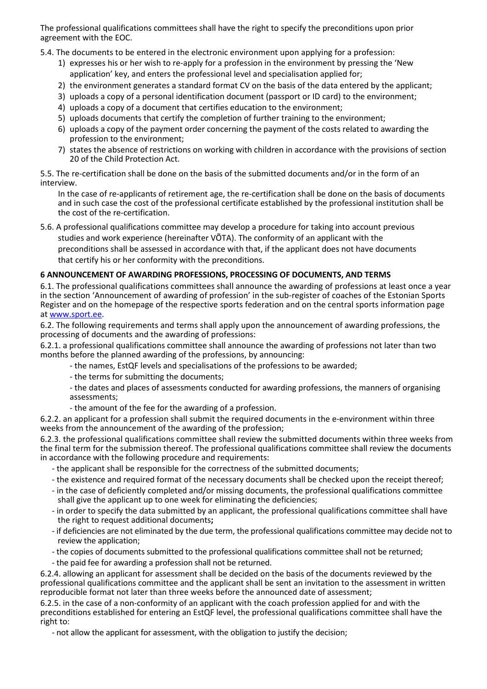The professional qualifications committees shall have the right to specify the preconditions upon prior agreement with the EOC.

5.4. The documents to be entered in the electronic environment upon applying for a profession:

- 1) expresses his or her wish to re-apply for a profession in the environment by pressing the 'New application' key, and enters the professional level and specialisation applied for;
- 2) the environment generates a standard format CV on the basis of the data entered by the applicant;
- 3) uploads a copy of a personal identification document (passport or ID card) to the environment;
- 4) uploads a copy of a document that certifies education to the environment;
- 5) uploads documents that certify the completion of further training to the environment;
- 6) uploads a copy of the payment order concerning the payment of the costs related to awarding the profession to the environment;
- 7) states the absence of restrictions on working with children in accordance with the provisions of section 20 of the Child Protection Act.

5.5. The re-certification shall be done on the basis of the submitted documents and/or in the form of an interview.

In the case of re-applicants of retirement age, the re-certification shall be done on the basis of documents and in such case the cost of the professional certificate established by the professional institution shall be the cost of the re-certification.

5.6. A professional qualifications committee may develop a procedure for taking into account previous

studies and work experience (hereinafter VÕTA). The conformity of an applicant with the preconditions shall be assessed in accordance with that, if the applicant does not have documents that certify his or her conformity with the preconditions.

#### **6 ANNOUNCEMENT OF AWARDING PROFESSIONS, PROCESSING OF DOCUMENTS, AND TERMS**

6.1. The professional qualifications committees shall announce the awarding of professions at least once a year in the section 'Announcement of awarding of profession' in the sub-register of coaches of the Estonian Sports Register and on the homepage of the respective sports federation and on the central sports information page at www.sport.ee.

6.2. The following requirements and terms shall apply upon the announcement of awarding professions, the processing of documents and the awarding of professions:

6.2.1. a professional qualifications committee shall announce the awarding of professions not later than two months before the planned awarding of the professions, by announcing:

- the names, EstQF levels and specialisations of the professions to be awarded;
- the terms for submitting the documents;
- the dates and places of assessments conducted for awarding professions, the manners of organising assessments;
- the amount of the fee for the awarding of a profession.

6.2.2. an applicant for a profession shall submit the required documents in the e-environment within three weeks from the announcement of the awarding of the profession;

6.2.3. the professional qualifications committee shall review the submitted documents within three weeks from the final term for the submission thereof. The professional qualifications committee shall review the documents in accordance with the following procedure and requirements:

- the applicant shall be responsible for the correctness of the submitted documents;
- the existence and required format of the necessary documents shall be checked upon the receipt thereof;
- in the case of deficiently completed and/or missing documents, the professional qualifications committee shall give the applicant up to one week for eliminating the deficiencies;
- in order to specify the data submitted by an applicant, the professional qualifications committee shall have the right to request additional documents**;**
- if deficiencies are not eliminated by the due term, the professional qualifications committee may decide not to review the application;
- the copies of documents submitted to the professional qualifications committee shall not be returned;
- the paid fee for awarding a profession shall not be returned.

6.2.4. allowing an applicant for assessment shall be decided on the basis of the documents reviewed by the professional qualifications committee and the applicant shall be sent an invitation to the assessment in written reproducible format not later than three weeks before the announced date of assessment;

6.2.5. in the case of a non-conformity of an applicant with the coach profession applied for and with the preconditions established for entering an EstQF level, the professional qualifications committee shall have the right to:

- not allow the applicant for assessment, with the obligation to justify the decision;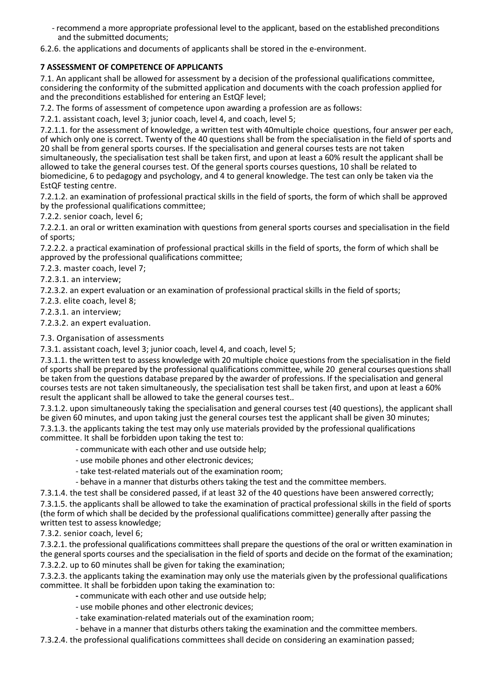- recommend a more appropriate professional level to the applicant, based on the established preconditions and the submitted documents;
- 6.2.6. the applications and documents of applicants shall be stored in the e-environment.

## **7 ASSESSMENT OF COMPETENCE OF APPLICANTS**

7.1. An applicant shall be allowed for assessment by a decision of the professional qualifications committee, considering the conformity of the submitted application and documents with the coach profession applied for and the preconditions established for entering an EstQF level;

7.2. The forms of assessment of competence upon awarding a profession are as follows:

7.2.1. assistant coach, level 3; junior coach, level 4, and coach, level 5;

7.2.1.1. for the assessment of knowledge, a written test with 40multiple choice questions, four answer per each, of which only one is correct. Twenty of the 40 questions shall be from the specialisation in the field of sports and 20 shall be from general sports courses. If the specialisation and general courses tests are not taken simultaneously, the specialisation test shall be taken first, and upon at least a 60% result the applicant shall be allowed to take the general courses test. Of the general sports courses questions, 10 shall be related to biomedicine, 6 to pedagogy and psychology, and 4 to general knowledge. The test can only be taken via the EstQF testing centre.

7.2.1.2. an examination of professional practical skills in the field of sports, the form of which shall be approved by the professional qualifications committee;

7.2.2. senior coach, level 6;

7.2.2.1. an oral or written examination with questions from general sports courses and specialisation in the field of sports;

7.2.2.2. a practical examination of professional practical skills in the field of sports, the form of which shall be approved by the professional qualifications committee;

7.2.3. master coach, level 7;

7.2.3.1. an interview;

7.2.3.2. an expert evaluation or an examination of professional practical skills in the field of sports;

7.2.3. elite coach, level 8;

7.2.3.1. an interview;

7.2.3.2. an expert evaluation.

#### 7.3. Organisation of assessments

7.3.1. assistant coach, level 3; junior coach, level 4, and coach, level 5;

7.3.1.1. the written test to assess knowledge with 20 multiple choice questions from the specialisation in the field of sports shall be prepared by the professional qualifications committee, while 20 general courses questions shall be taken from the questions database prepared by the awarder of professions. If the specialisation and general courses tests are not taken simultaneously, the specialisation test shall be taken first, and upon at least a 60% result the applicant shall be allowed to take the general courses test..

7.3.1.2. upon simultaneously taking the specialisation and general courses test (40 questions), the applicant shall be given 60 minutes, and upon taking just the general courses test the applicant shall be given 30 minutes; 7.3.1.3. the applicants taking the test may only use materials provided by the professional qualifications committee. It shall be forbidden upon taking the test to:

- communicate with each other and use outside help;
- use mobile phones and other electronic devices;
- take test-related materials out of the examination room;
- behave in a manner that disturbs others taking the test and the committee members.

7.3.1.4. the test shall be considered passed, if at least 32 of the 40 questions have been answered correctly;

7.3.1.5. the applicants shall be allowed to take the examination of practical professional skills in the field of sports (the form of which shall be decided by the professional qualifications committee) generally after passing the written test to assess knowledge;

7.3.2. senior coach, level 6;

7.3.2.1. the professional qualifications committees shall prepare the questions of the oral or written examination in the general sports courses and the specialisation in the field of sports and decide on the format of the examination;

7.3.2.2. up to 60 minutes shall be given for taking the examination;

7.3.2.3. the applicants taking the examination may only use the materials given by the professional qualifications committee. It shall be forbidden upon taking the examination to:

**-** communicate with each other and use outside help;

- use mobile phones and other electronic devices;
- take examination-related materials out of the examination room;
- behave in a manner that disturbs others taking the examination and the committee members.

7.3.2.4. the professional qualifications committees shall decide on considering an examination passed;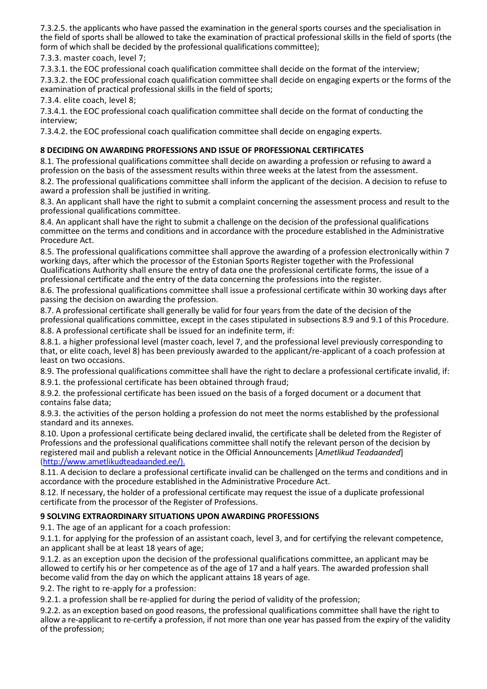7.3.2.5. the applicants who have passed the examination in the general sports courses and the specialisation in the field of sports shall be allowed to take the examination of practical professional skills in the field of sports (the form of which shall be decided by the professional qualifications committee);

7.3.3. master coach, level 7;

7.3.3.1. the EOC professional coach qualification committee shall decide on the format of the interview;

7.3.3.2. the EOC professional coach qualification committee shall decide on engaging experts or the forms of the examination of practical professional skills in the field of sports;

7.3.4. elite coach, level 8;

7.3.4.1. the EOC professional coach qualification committee shall decide on the format of conducting the interview;

7.3.4.2. the EOC professional coach qualification committee shall decide on engaging experts.

## **8 DECIDING ON AWARDING PROFESSIONS AND ISSUE OF PROFESSIONAL CERTIFICATES**

8.1. The professional qualifications committee shall decide on awarding a profession or refusing to award a profession on the basis of the assessment results within three weeks at the latest from the assessment.

8.2. The professional qualifications committee shall inform the applicant of the decision. A decision to refuse to award a profession shall be justified in writing.

8.3. An applicant shall have the right to submit a complaint concerning the assessment process and result to the professional qualifications committee.

8.4. An applicant shall have the right to submit a challenge on the decision of the professional qualifications committee on the terms and conditions and in accordance with the procedure established in the Administrative Procedure Act.

8.5. The professional qualifications committee shall approve the awarding of a profession electronically within 7 working days, after which the processor of the Estonian Sports Register together with the Professional Qualifications Authority shall ensure the entry of data one the professional certificate forms, the issue of a professional certificate and the entry of the data concerning the professions into the register.

8.6. The professional qualifications committee shall issue a professional certificate within 30 working days after passing the decision on awarding the profession.

8.7. A professional certificate shall generally be valid for four years from the date of the decision of the professional qualifications committee, except in the cases stipulated in subsections 8.9 and 9.1 of this Procedure. 8.8. A professional certificate shall be issued for an indefinite term, if:

8.8.1. a higher professional level (master coach, level 7, and the professional level previously corresponding to that, or elite coach, level 8) has been previously awarded to the applicant/re-applicant of a coach profession at least on two occasions.

8.9. The professional qualifications committee shall have the right to declare a professional certificate invalid, if: 8.9.1. the professional certificate has been obtained through fraud;

8.9.2. the professional certificate has been issued on the basis of a forged document or a document that contains false data;

8.9.3. the activities of the person holding a profession do not meet the norms established by the professional standard and its annexes.

8.10. Upon a professional certificate being declared invalid, the certificate shall be deleted from the Register of Professions and the professional qualifications committee shall notify the relevant person of the decision by registered mail and publish a relevant notice in the Official Announcements [*Ametlikud Teadaanded*] (http://www.ametlikudteadaanded.ee/).

8.11. A decision to declare a professional certificate invalid can be challenged on the terms and conditions and in accordance with the procedure established in the Administrative Procedure Act.

8.12. If necessary, the holder of a professional certificate may request the issue of a duplicate professional certificate from the processor of the Register of Professions.

# **9 SOLVING EXTRAORDINARY SITUATIONS UPON AWARDING PROFESSIONS**

9.1. The age of an applicant for a coach profession:

9.1.1. for applying for the profession of an assistant coach, level 3, and for certifying the relevant competence, an applicant shall be at least 18 years of age;

9.1.2. as an exception upon the decision of the professional qualifications committee, an applicant may be allowed to certify his or her competence as of the age of 17 and a half years. The awarded profession shall become valid from the day on which the applicant attains 18 years of age.

9.2. The right to re-apply for a profession:

9.2.1. a profession shall be re-applied for during the period of validity of the profession;

9.2.2. as an exception based on good reasons, the professional qualifications committee shall have the right to allow a re-applicant to re-certify a profession, if not more than one year has passed from the expiry of the validity of the profession;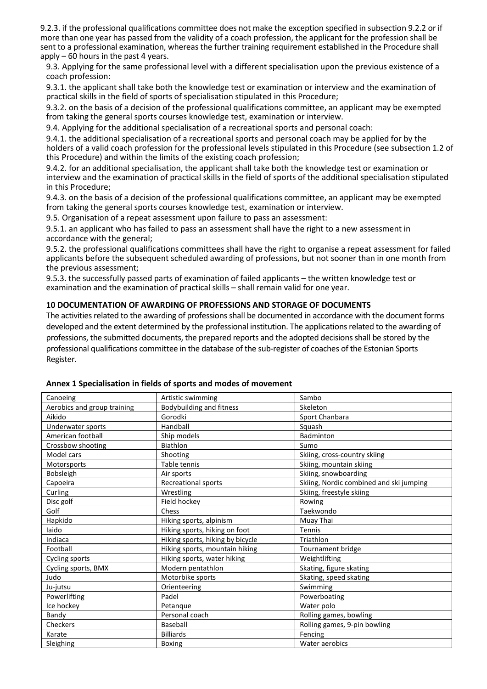9.2.3. if the professional qualifications committee does not make the exception specified in subsection 9.2.2 or if more than one year has passed from the validity of a coach profession, the applicant for the profession shall be sent to a professional examination, whereas the further training requirement established in the Procedure shall apply – 60 hours in the past 4 years.

9.3. Applying for the same professional level with a different specialisation upon the previous existence of a coach profession:

9.3.1. the applicant shall take both the knowledge test or examination or interview and the examination of practical skills in the field of sports of specialisation stipulated in this Procedure;

9.3.2. on the basis of a decision of the professional qualifications committee, an applicant may be exempted from taking the general sports courses knowledge test, examination or interview.

9.4. Applying for the additional specialisation of a recreational sports and personal coach:

9.4.1. the additional specialisation of a recreational sports and personal coach may be applied for by the holders of a valid coach profession for the professional levels stipulated in this Procedure (see subsection 1.2 of this Procedure) and within the limits of the existing coach profession;

9.4.2. for an additional specialisation, the applicant shall take both the knowledge test or examination or interview and the examination of practical skills in the field of sports of the additional specialisation stipulated in this Procedure;

9.4.3. on the basis of a decision of the professional qualifications committee, an applicant may be exempted from taking the general sports courses knowledge test, examination or interview.

9.5. Organisation of a repeat assessment upon failure to pass an assessment:

9.5.1. an applicant who has failed to pass an assessment shall have the right to a new assessment in accordance with the general;

9.5.2. the professional qualifications committees shall have the right to organise a repeat assessment for failed applicants before the subsequent scheduled awarding of professions, but not sooner than in one month from the previous assessment;

9.5.3. the successfully passed parts of examination of failed applicants – the written knowledge test or examination and the examination of practical skills – shall remain valid for one year.

#### **10 DOCUMENTATION OF AWARDING OF PROFESSIONS AND STORAGE OF DOCUMENTS**

The activities related to the awarding of professions shall be documented in accordance with the document forms developed and the extent determined by the professional institution. The applications related to the awarding of professions, the submitted documents, the prepared reports and the adopted decisions shall be stored by the professional qualifications committee in the database of the sub-register of coaches of the Estonian Sports Register.

| Canoeing                    | Artistic swimming                | Sambo                                   |
|-----------------------------|----------------------------------|-----------------------------------------|
| Aerobics and group training | <b>Bodybuilding and fitness</b>  | Skeleton                                |
| Aikido                      | Gorodki                          | Sport Chanbara                          |
| Underwater sports           | Handball                         | Squash                                  |
| American football           | Ship models                      | Badminton                               |
| Crossbow shooting           | Biathlon                         | Sumo                                    |
| Model cars                  | Shooting                         | Skiing, cross-country skiing            |
| Motorsports                 | Table tennis                     | Skiing, mountain skiing                 |
| Bobsleigh                   | Air sports                       | Skiing, snowboarding                    |
| Capoeira                    | Recreational sports              | Skiing, Nordic combined and ski jumping |
| Curling                     | Wrestling                        | Skiing, freestyle skiing                |
| Disc golf                   | Field hockey                     | Rowing                                  |
| Golf                        | Chess                            | Taekwondo                               |
| Hapkido                     | Hiking sports, alpinism          | Muay Thai                               |
| laido                       | Hiking sports, hiking on foot    | Tennis                                  |
| Indiaca                     | Hiking sports, hiking by bicycle | Triathlon                               |
| Football                    | Hiking sports, mountain hiking   | Tournament bridge                       |
| Cycling sports              | Hiking sports, water hiking      | Weightlifting                           |
| Cycling sports, BMX         | Modern pentathlon                | Skating, figure skating                 |
| Judo                        | Motorbike sports                 | Skating, speed skating                  |
| Ju-jutsu                    | Orienteering                     | Swimming                                |
| Powerlifting                | Padel                            | Powerboating                            |
| Ice hockey                  | Petanque                         | Water polo                              |
| Bandy                       | Personal coach                   | Rolling games, bowling                  |
| Checkers                    | Baseball                         | Rolling games, 9-pin bowling            |
| Karate                      | <b>Billiards</b>                 | Fencing                                 |
| Sleighing                   | Boxing                           | Water aerobics                          |

**Annex 1 Specialisation in fields of sports and modes of movement**